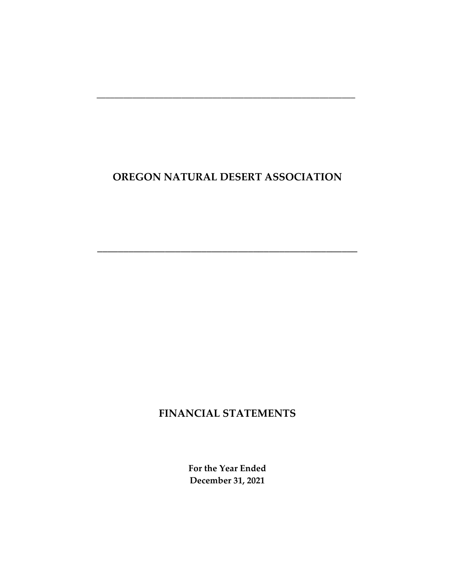\_\_\_\_\_\_\_\_\_\_\_\_\_\_\_\_\_\_\_\_\_\_\_\_\_\_\_\_\_\_\_\_\_\_\_\_\_\_\_\_\_\_\_\_\_\_\_\_\_\_

\_\_\_\_\_\_\_\_\_\_\_\_\_\_\_\_\_\_\_\_\_\_\_\_\_\_\_\_\_\_\_\_\_\_\_\_\_\_\_\_\_\_\_\_\_\_\_\_\_\_\_\_\_\_\_\_\_\_

# **FINANCIAL STATEMENTS**

**For the Year Ended December 31, 2021**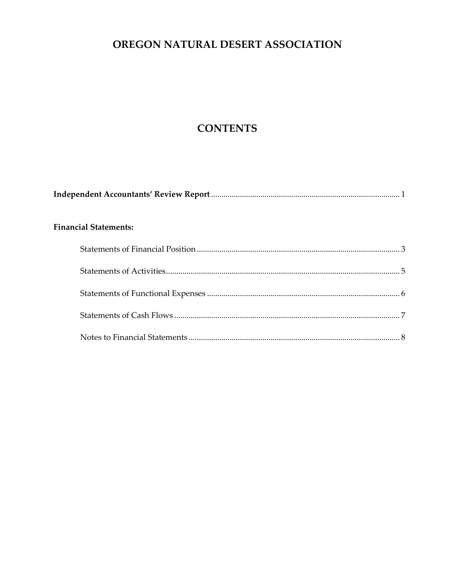# **CONTENTS**

| <b>Financial Statements:</b> |  |
|------------------------------|--|
|                              |  |
|                              |  |
|                              |  |
|                              |  |
|                              |  |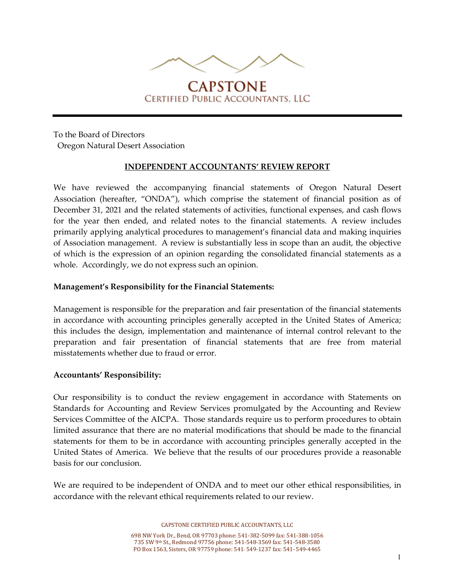

# **CAPSTONE CERTIFIED PUBLIC ACCOUNTANTS. LLC**

To the Board of Directors Oregon Natural Desert Association

### **INDEPENDENT ACCOUNTANTS' REVIEW REPORT**

We have reviewed the accompanying financial statements of Oregon Natural Desert Association (hereafter, "ONDA"), which comprise the statement of financial position as of December 31, 2021 and the related statements of activities, functional expenses, and cash flows for the year then ended, and related notes to the financial statements. A review includes primarily applying analytical procedures to management's financial data and making inquiries of Association management. A review is substantially less in scope than an audit, the objective of which is the expression of an opinion regarding the consolidated financial statements as a whole. Accordingly, we do not express such an opinion.

#### **Management's Responsibility for the Financial Statements:**

Management is responsible for the preparation and fair presentation of the financial statements in accordance with accounting principles generally accepted in the United States of America; this includes the design, implementation and maintenance of internal control relevant to the preparation and fair presentation of financial statements that are free from material misstatements whether due to fraud or error.

### **Accountants' Responsibility:**

Our responsibility is to conduct the review engagement in accordance with Statements on Standards for Accounting and Review Services promulgated by the Accounting and Review Services Committee of the AICPA. Those standards require us to perform procedures to obtain limited assurance that there are no material modifications that should be made to the financial statements for them to be in accordance with accounting principles generally accepted in the United States of America. We believe that the results of our procedures provide a reasonable basis for our conclusion.

We are required to be independent of ONDA and to meet our other ethical responsibilities, in accordance with the relevant ethical requirements related to our review.

CAPSTONE CERTIFIED PUBLIC ACCOUNTANTS, LLC

698 NW York Dr., Bend, OR 97703 phone: 541-382-5099 fax: 541-388-1056 735 SW 9th St., Redmond 97756 phone: 541-548-3569 fax: 541-548-3580 PO Box 1563, Sisters, OR 97759 phone: 541- 549-1237 fax: 541- 549-4465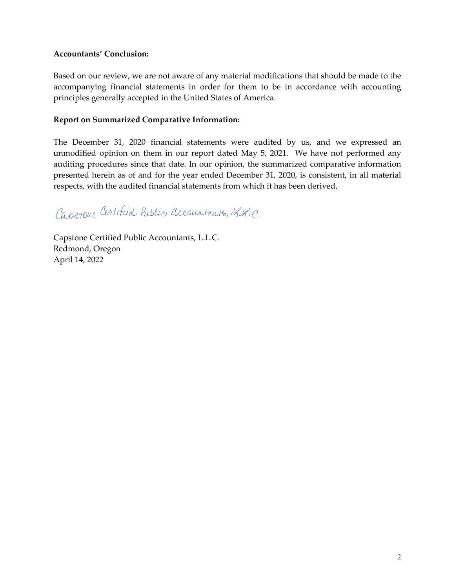### **Accountants' Conclusion:**

Based on our review, we are not aware of any material modifications that should be made to the accompanying financial statements in order for them to be in accordance with accounting principles generally accepted in the United States of America.

### **Report on Summarized Comparative Information:**

The December 31, 2020 financial statements were audited by us, and we expressed an unmodified opinion on them in our report dated May 5, 2021. We have not performed any auditing procedures since that date. In our opinion, the summarized comparative information presented herein as of and for the year ended December 31, 2020, is consistent, in all material respects, with the audited financial statements from which it has been derived.

Capistone Certified Public accountants, L.L.C.

Capstone Certified Public Accountants, L.L.C. Redmond, Oregon April 14, 2022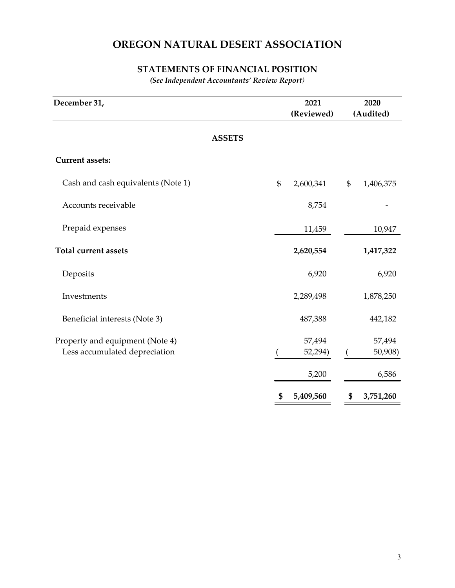## **STATEMENTS OF FINANCIAL POSITION**

*(See Independent Accountants' Review Report)*

| December 31,                                                     | 2021<br>(Reviewed)         | 2020<br>(Audited)          |
|------------------------------------------------------------------|----------------------------|----------------------------|
| <b>ASSETS</b>                                                    |                            |                            |
| <b>Current assets:</b>                                           |                            |                            |
| Cash and cash equivalents (Note 1)                               | \$<br>2,600,341            | \$<br>1,406,375            |
| Accounts receivable                                              | 8,754                      |                            |
| Prepaid expenses                                                 | 11,459                     | 10,947                     |
| <b>Total current assets</b>                                      | 2,620,554                  | 1,417,322                  |
| Deposits                                                         | 6,920                      | 6,920                      |
| Investments                                                      | 2,289,498                  | 1,878,250                  |
| Beneficial interests (Note 3)                                    | 487,388                    | 442,182                    |
| Property and equipment (Note 4)<br>Less accumulated depreciation | 57,494<br>52,294)<br>5,200 | 57,494<br>50,908)<br>6,586 |
|                                                                  | \$<br>5,409,560            | \$<br>3,751,260            |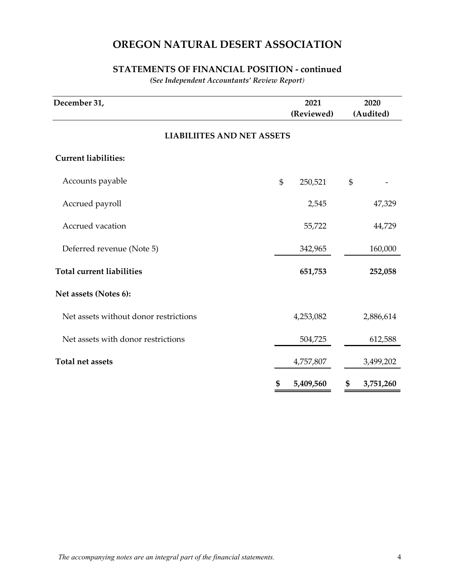## **STATEMENTS OF FINANCIAL POSITION - continued**

*(See Independent Accountants' Review Report)*

| December 31,                          | 2021<br>(Reviewed) |                | 2020<br>(Audited) |
|---------------------------------------|--------------------|----------------|-------------------|
| <b>LIABILIITES AND NET ASSETS</b>     |                    |                |                   |
| <b>Current liabilities:</b>           |                    |                |                   |
| Accounts payable                      | \$<br>250,521      | $\mathfrak{S}$ |                   |
| Accrued payroll                       | 2,545              |                | 47,329            |
| Accrued vacation                      | 55,722             |                | 44,729            |
| Deferred revenue (Note 5)             | 342,965            |                | 160,000           |
| <b>Total current liabilities</b>      | 651,753            |                | 252,058           |
| Net assets (Notes 6):                 |                    |                |                   |
| Net assets without donor restrictions | 4,253,082          |                | 2,886,614         |
| Net assets with donor restrictions    | 504,725            |                | 612,588           |
| <b>Total net assets</b>               | 4,757,807          |                | 3,499,202         |
|                                       | \$<br>5,409,560    | \$             | 3,751,260         |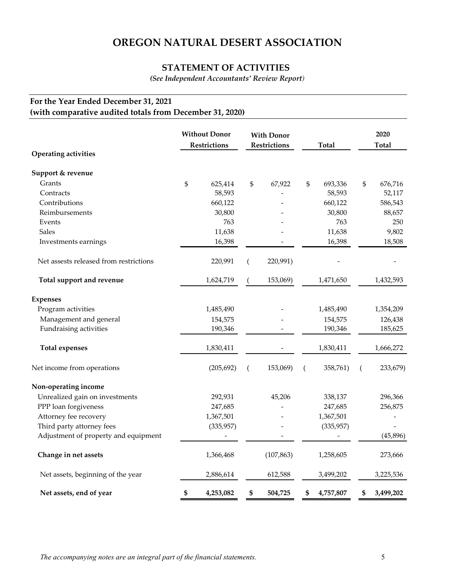### **STATEMENT OF ACTIVITIES**

*(See Independent Accountants' Review Report)*

## **For the Year Ended December 31, 2021 (with comparative audited totals from December 31, 2020)**

| <b>Operating activities</b>            | <b>Without Donor</b><br>Restrictions |    | <b>With Donor</b><br>Restrictions |    | Total      |    | 2020<br>Total |
|----------------------------------------|--------------------------------------|----|-----------------------------------|----|------------|----|---------------|
| Support & revenue                      |                                      |    |                                   |    |            |    |               |
| Grants                                 | \$<br>625,414                        | \$ | 67,922                            | \$ | 693,336    | \$ | 676,716       |
| Contracts                              | 58,593                               |    |                                   |    | 58,593     |    | 52,117        |
| Contributions                          | 660,122                              |    |                                   |    | 660,122    |    | 586,543       |
| Reimbursements                         | 30,800                               |    |                                   |    | 30,800     |    | 88,657        |
| Events                                 | 763                                  |    |                                   |    | 763        |    | 250           |
| <b>Sales</b>                           | 11,638                               |    |                                   |    | 11,638     |    | 9,802         |
| Investments earnings                   | 16,398                               |    |                                   |    | 16,398     |    | 18,508        |
| Net assests released from restrictions | 220,991                              |    | 220,991)                          |    |            |    |               |
| Total support and revenue              | 1,624,719                            |    | 153,069)                          |    | 1,471,650  |    | 1,432,593     |
| <b>Expenses</b>                        |                                      |    |                                   |    |            |    |               |
| Program activities                     | 1,485,490                            |    |                                   |    | 1,485,490  |    | 1,354,209     |
| Management and general                 | 154,575                              |    |                                   |    | 154,575    |    | 126,438       |
| Fundraising activities                 | 190,346                              |    |                                   |    | 190,346    |    | 185,625       |
| <b>Total expenses</b>                  | 1,830,411                            |    |                                   |    | 1,830,411  |    | 1,666,272     |
| Net income from operations             | (205, 692)                           | (  | 153,069)                          | (  | 358,761)   | (  | 233,679)      |
| Non-operating income                   |                                      |    |                                   |    |            |    |               |
| Unrealized gain on investments         | 292,931                              |    | 45,206                            |    | 338,137    |    | 296,366       |
| PPP loan forgiveness                   | 247,685                              |    |                                   |    | 247,685    |    | 256,875       |
| Attorney fee recovery                  | 1,367,501                            |    |                                   |    | 1,367,501  |    |               |
| Third party attorney fees              | (335,957)                            |    |                                   |    | (335, 957) |    |               |
| Adjustment of property and equipment   | $\overline{\phantom{a}}$             |    |                                   |    |            |    | (45,896)      |
| Change in net assets                   | 1,366,468                            |    | (107, 863)                        |    | 1,258,605  |    | 273,666       |
| Net assets, beginning of the year      | 2,886,614                            |    | 612,588                           |    | 3,499,202  |    | 3,225,536     |
| Net assets, end of year                | \$<br>4,253,082                      | \$ | 504,725                           | \$ | 4,757,807  | \$ | 3,499,202     |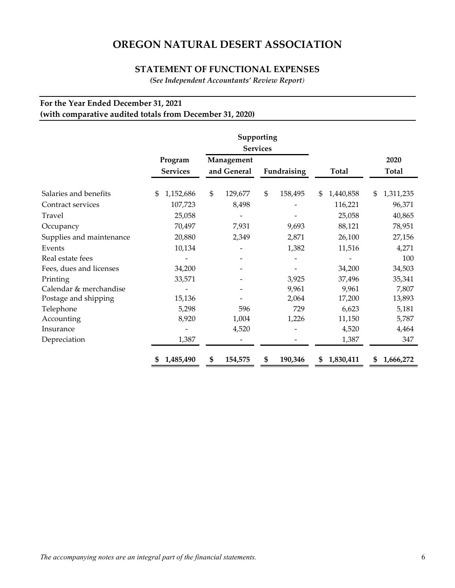#### **STATEMENT OF FUNCTIONAL EXPENSES**

*(See Independent Accountants' Review Report)*

## **For the Year Ended December 31, 2021 (with comparative audited totals from December 31, 2020)**

|                          |                            |                           | Supporting<br><b>Services</b> |                 |                      |
|--------------------------|----------------------------|---------------------------|-------------------------------|-----------------|----------------------|
|                          | Program<br><b>Services</b> | Management<br>and General | Fundraising                   | <b>Total</b>    | 2020<br><b>Total</b> |
| Salaries and benefits    | 1,152,686<br>\$            | \$<br>129,677             | \$<br>158,495                 | 1,440,858<br>\$ | 1,311,235<br>\$      |
| Contract services        | 107,723                    | 8,498                     |                               | 116,221         | 96,371               |
| Travel                   | 25,058                     |                           |                               | 25,058          | 40,865               |
| Occupancy                | 70,497                     | 7,931                     | 9,693                         | 88,121          | 78,951               |
| Supplies and maintenance | 20,880                     | 2,349                     | 2,871                         | 26,100          | 27,156               |
| Events                   | 10,134                     |                           | 1,382                         | 11,516          | 4,271                |
| Real estate fees         |                            |                           |                               |                 | 100                  |
| Fees, dues and licenses  | 34,200                     |                           |                               | 34,200          | 34,503               |
| Printing                 | 33,571                     |                           | 3,925                         | 37,496          | 35,341               |
| Calendar & merchandise   |                            |                           | 9,961                         | 9,961           | 7,807                |
| Postage and shipping     | 15,136                     |                           | 2,064                         | 17,200          | 13,893               |
| Telephone                | 5,298                      | 596                       | 729                           | 6,623           | 5,181                |
| Accounting               | 8,920                      | 1,004                     | 1,226                         | 11,150          | 5,787                |
| Insurance                |                            | 4,520                     |                               | 4,520           | 4,464                |
| Depreciation             | 1,387                      |                           |                               | 1,387           | 347                  |
|                          | 1,485,490                  | 154,575<br>\$             | 190,346<br>\$                 | 1,830,411<br>\$ | 1,666,272<br>\$      |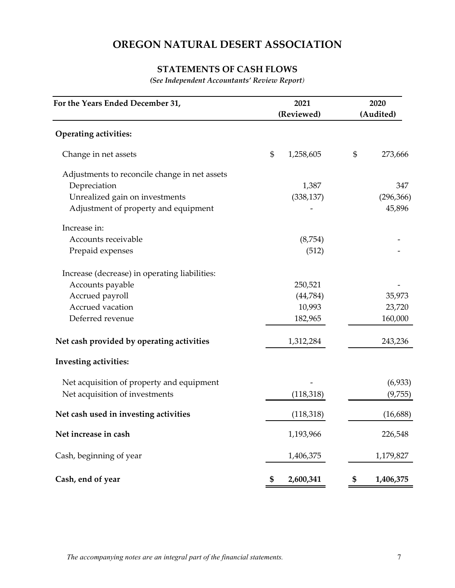## **STATEMENTS OF CASH FLOWS**

*(See Independent Accountants' Review Report)*

| For the Years Ended December 31,              |    | 2021       | 2020            |
|-----------------------------------------------|----|------------|-----------------|
|                                               |    | (Reviewed) | (Audited)       |
| <b>Operating activities:</b>                  |    |            |                 |
| Change in net assets                          | \$ | 1,258,605  | \$<br>273,666   |
| Adjustments to reconcile change in net assets |    |            |                 |
| Depreciation                                  |    | 1,387      | 347             |
| Unrealized gain on investments                |    | (338, 137) | (296, 366)      |
| Adjustment of property and equipment          |    |            | 45,896          |
| Increase in:                                  |    |            |                 |
| Accounts receivable                           |    | (8,754)    |                 |
| Prepaid expenses                              |    | (512)      |                 |
| Increase (decrease) in operating liabilities: |    |            |                 |
| Accounts payable                              |    | 250,521    |                 |
| Accrued payroll                               |    | (44,784)   | 35,973          |
| Accrued vacation                              |    | 10,993     | 23,720          |
| Deferred revenue                              |    | 182,965    | 160,000         |
| Net cash provided by operating activities     |    | 1,312,284  | 243,236         |
| <b>Investing activities:</b>                  |    |            |                 |
| Net acquisition of property and equipment     |    |            | (6,933)         |
| Net acquisition of investments                |    | (118, 318) | (9,755)         |
| Net cash used in investing activities         |    | (118, 318) | (16, 688)       |
| Net increase in cash                          |    | 1,193,966  | 226,548         |
| Cash, beginning of year                       |    | 1,406,375  | 1,179,827       |
| Cash, end of year                             | \$ | 2,600,341  | \$<br>1,406,375 |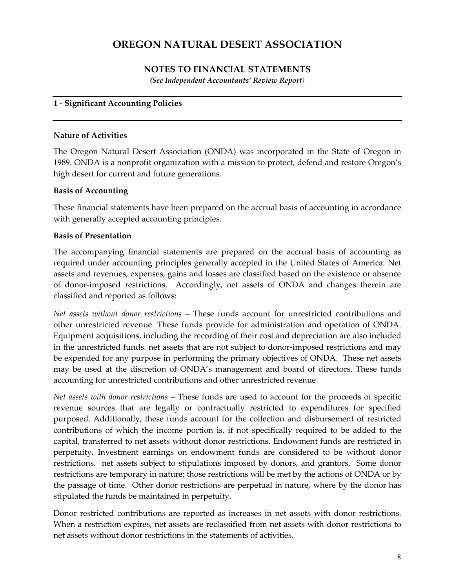## **NOTES TO FINANCIAL STATEMENTS**

*(See Independent Accountants' Review Report)*

### **1 - Significant Accounting Policies**

### **Nature of Activities**

The Oregon Natural Desert Association (ONDA) was incorporated in the State of Oregon in 1989. ONDA is a nonprofit organization with a mission to protect, defend and restore Oregon's high desert for current and future generations.

### **Basis of Accounting**

These financial statements have been prepared on the accrual basis of accounting in accordance with generally accepted accounting principles.

### **Basis of Presentation**

The accompanying financial statements are prepared on the accrual basis of accounting as required under accounting principles generally accepted in the United States of America. Net assets and revenues, expenses, gains and losses are classified based on the existence or absence of donor-imposed restrictions. Accordingly, net assets of ONDA and changes therein are classified and reported as follows:

*Net assets without donor restrictions* – These funds account for unrestricted contributions and other unrestricted revenue. These funds provide for administration and operation of ONDA. Equipment acquisitions, including the recording of their cost and depreciation are also included in the unrestricted funds. net assets that are not subject to donor-imposed restrictions and may be expended for any purpose in performing the primary objectives of ONDA. These net assets may be used at the discretion of ONDA's management and board of directors. These funds accounting for unrestricted contributions and other unrestricted revenue.

*Net assets with donor restrictions* – These funds are used to account for the proceeds of specific revenue sources that are legally or contractually restricted to expenditures for specified purposed. Additionally, these funds account for the collection and disbursement of restricted contributions of which the income portion is, if not specifically required to be added to the capital, transferred to net assets without donor restrictions. Endowment funds are restricted in perpetuity. Investment earnings on endowment funds are considered to be without donor restrictions. net assets subject to stipulations imposed by donors, and grantors. Some donor restrictions are temporary in nature; those restrictions will be met by the actions of ONDA or by the passage of time. Other donor restrictions are perpetual in nature, where by the donor has stipulated the funds be maintained in perpetuity.

Donor restricted contributions are reported as increases in net assets with donor restrictions. When a restriction expires, net assets are reclassified from net assets with donor restrictions to net assets without donor restrictions in the statements of activities.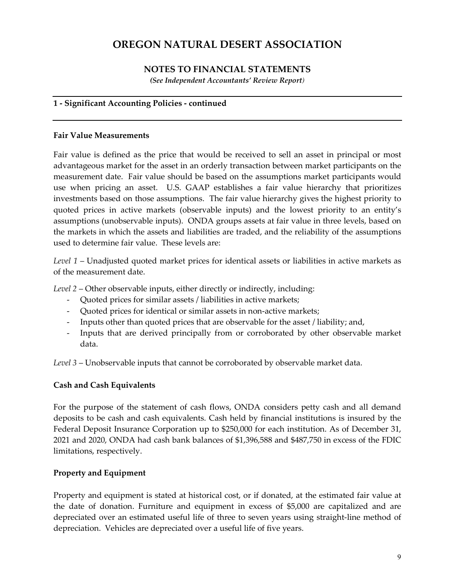## **NOTES TO FINANCIAL STATEMENTS**

*(See Independent Accountants' Review Report)*

### **1 - Significant Accounting Policies - continued**

### **Fair Value Measurements**

Fair value is defined as the price that would be received to sell an asset in principal or most advantageous market for the asset in an orderly transaction between market participants on the measurement date. Fair value should be based on the assumptions market participants would use when pricing an asset. U.S. GAAP establishes a fair value hierarchy that prioritizes investments based on those assumptions. The fair value hierarchy gives the highest priority to quoted prices in active markets (observable inputs) and the lowest priority to an entity's assumptions (unobservable inputs). ONDA groups assets at fair value in three levels, based on the markets in which the assets and liabilities are traded, and the reliability of the assumptions used to determine fair value. These levels are:

*Level 1* – Unadjusted quoted market prices for identical assets or liabilities in active markets as of the measurement date.

*Level 2* – Other observable inputs, either directly or indirectly, including:

- Quoted prices for similar assets / liabilities in active markets;
- Quoted prices for identical or similar assets in non-active markets;
- Inputs other than quoted prices that are observable for the asset / liability; and,
- Inputs that are derived principally from or corroborated by other observable market data.

*Level 3* – Unobservable inputs that cannot be corroborated by observable market data.

### **Cash and Cash Equivalents**

For the purpose of the statement of cash flows, ONDA considers petty cash and all demand deposits to be cash and cash equivalents. Cash held by financial institutions is insured by the Federal Deposit Insurance Corporation up to \$250,000 for each institution. As of December 31, 2021 and 2020, ONDA had cash bank balances of \$1,396,588 and \$487,750 in excess of the FDIC limitations, respectively.

### **Property and Equipment**

Property and equipment is stated at historical cost, or if donated, at the estimated fair value at the date of donation. Furniture and equipment in excess of \$5,000 are capitalized and are depreciated over an estimated useful life of three to seven years using straight-line method of depreciation. Vehicles are depreciated over a useful life of five years.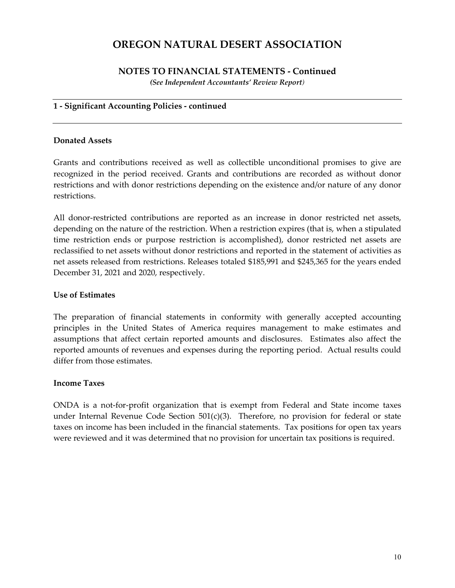#### **NOTES TO FINANCIAL STATEMENTS - Continued** *(See Independent Accountants' Review Report)*

#### **1 - Significant Accounting Policies - continued**

#### **Donated Assets**

Grants and contributions received as well as collectible unconditional promises to give are recognized in the period received. Grants and contributions are recorded as without donor restrictions and with donor restrictions depending on the existence and/or nature of any donor restrictions.

All donor-restricted contributions are reported as an increase in donor restricted net assets, depending on the nature of the restriction. When a restriction expires (that is, when a stipulated time restriction ends or purpose restriction is accomplished), donor restricted net assets are reclassified to net assets without donor restrictions and reported in the statement of activities as net assets released from restrictions. Releases totaled \$185,991 and \$245,365 for the years ended December 31, 2021 and 2020, respectively.

#### **Use of Estimates**

The preparation of financial statements in conformity with generally accepted accounting principles in the United States of America requires management to make estimates and assumptions that affect certain reported amounts and disclosures. Estimates also affect the reported amounts of revenues and expenses during the reporting period. Actual results could differ from those estimates.

#### **Income Taxes**

ONDA is a not-for-profit organization that is exempt from Federal and State income taxes under Internal Revenue Code Section 501(c)(3). Therefore, no provision for federal or state taxes on income has been included in the financial statements. Tax positions for open tax years were reviewed and it was determined that no provision for uncertain tax positions is required.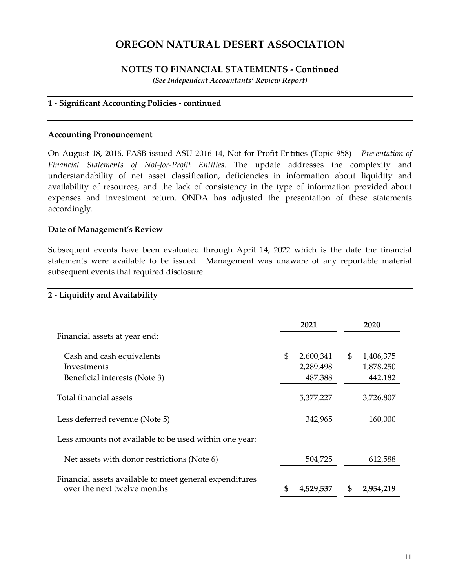### **NOTES TO FINANCIAL STATEMENTS - Continued**

*(See Independent Accountants' Review Report)*

### **1 - Significant Accounting Policies - continued**

#### **Accounting Pronouncement**

On August 18, 2016, FASB issued ASU 2016-14, Not-for-Profit Entities (Topic 958) – *Presentation of Financial Statements of Not-for-Profit Entities*. The update addresses the complexity and understandability of net asset classification, deficiencies in information about liquidity and availability of resources, and the lack of consistency in the type of information provided about expenses and investment return. ONDA has adjusted the presentation of these statements accordingly.

#### **Date of Management's Review**

Subsequent events have been evaluated through April 14, 2022 which is the date the financial statements were available to be issued. Management was unaware of any reportable material subsequent events that required disclosure.

| 2 - Liquidity and Availability                                                         |                                         |                                         |
|----------------------------------------------------------------------------------------|-----------------------------------------|-----------------------------------------|
|                                                                                        | 2021                                    | 2020                                    |
| Financial assets at year end:                                                          |                                         |                                         |
| Cash and cash equivalents<br>Investments<br>Beneficial interests (Note 3)              | \$<br>2,600,341<br>2,289,498<br>487,388 | \$<br>1,406,375<br>1,878,250<br>442,182 |
| Total financial assets                                                                 | 5,377,227                               | 3,726,807                               |
| Less deferred revenue (Note 5)                                                         | 342,965                                 | 160,000                                 |
| Less amounts not available to be used within one year:                                 |                                         |                                         |
| Net assets with donor restrictions (Note 6)                                            | 504,725                                 | 612,588                                 |
| Financial assets available to meet general expenditures<br>over the next twelve months | \$<br>4,529,537                         | \$<br>2,954,219                         |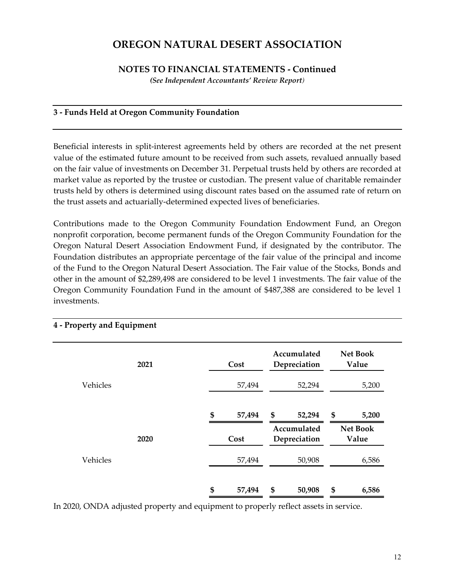### **NOTES TO FINANCIAL STATEMENTS - Continued**

*(See Independent Accountants' Review Report)*

### **3 - Funds Held at Oregon Community Foundation**

Beneficial interests in split-interest agreements held by others are recorded at the net present value of the estimated future amount to be received from such assets, revalued annually based on the fair value of investments on December 31. Perpetual trusts held by others are recorded at market value as reported by the trustee or custodian. The present value of charitable remainder trusts held by others is determined using discount rates based on the assumed rate of return on the trust assets and actuarially-determined expected lives of beneficiaries.

Contributions made to the Oregon Community Foundation Endowment Fund, an Oregon nonprofit corporation, become permanent funds of the Oregon Community Foundation for the Oregon Natural Desert Association Endowment Fund, if designated by the contributor. The Foundation distributes an appropriate percentage of the fair value of the principal and income of the Fund to the Oregon Natural Desert Association. The Fair value of the Stocks, Bonds and other in the amount of \$2,289,498 are considered to be level 1 investments. The fair value of the Oregon Community Foundation Fund in the amount of \$487,388 are considered to be level 1 investments.

|          | 2021 |        | Cost   | Accumulated<br>Depreciation |                             | <b>Net Book</b><br>Value |
|----------|------|--------|--------|-----------------------------|-----------------------------|--------------------------|
| Vehicles |      | 57,494 |        | 52,294                      |                             | 5,200                    |
|          |      | \$     | 57,494 | \$                          | 52,294                      | \$<br>5,200              |
|          | 2020 |        | Cost   |                             | Accumulated<br>Depreciation | <b>Net Book</b><br>Value |
| Vehicles |      |        | 57,494 |                             | 50,908                      | 6,586                    |
|          |      | \$     | 57,494 | \$                          | 50,908                      | \$<br>6,586              |

#### **4 - Property and Equipment**

In 2020, ONDA adjusted property and equipment to properly reflect assets in service.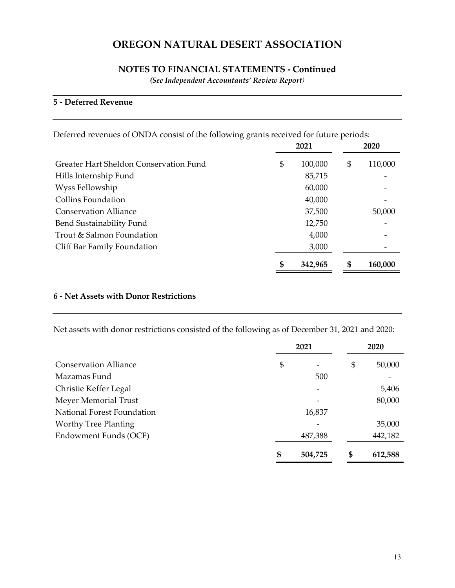### **NOTES TO FINANCIAL STATEMENTS - Continued**

*(See Independent Accountants' Review Report)*

### **5 - Deferred Revenue**

Deferred revenues of ONDA consist of the following grants received for future periods:

|                                        | 2021          | 2020          |
|----------------------------------------|---------------|---------------|
| Greater Hart Sheldon Conservation Fund | \$<br>100,000 | \$<br>110,000 |
| Hills Internship Fund                  | 85,715        |               |
| Wyss Fellowship                        | 60,000        |               |
| <b>Collins Foundation</b>              | 40,000        |               |
| <b>Conservation Alliance</b>           | 37,500        | 50,000        |
| Bend Sustainability Fund               | 12,750        |               |
| Trout & Salmon Foundation              | 4,000         |               |
| Cliff Bar Family Foundation            | 3,000         |               |
|                                        | \$<br>342,965 | \$<br>160,000 |

### **6 - Net Assets with Donor Restrictions**

Net assets with donor restrictions consisted of the following as of December 31, 2021 and 2020:

|                              | 2021 |                          |    | 2020    |
|------------------------------|------|--------------------------|----|---------|
| <b>Conservation Alliance</b> | \$   | $\overline{\phantom{m}}$ | \$ | 50,000  |
| Mazamas Fund                 |      | 500                      |    |         |
| Christie Keffer Legal        |      | $\overline{\phantom{a}}$ |    | 5,406   |
| Meyer Memorial Trust         |      | $\overline{\phantom{a}}$ |    | 80,000  |
| National Forest Foundation   |      | 16,837                   |    |         |
| <b>Worthy Tree Planting</b>  |      |                          |    | 35,000  |
| Endowment Funds (OCF)        |      | 487,388                  |    | 442,182 |
|                              | \$   | 504,725                  | S  | 612,588 |